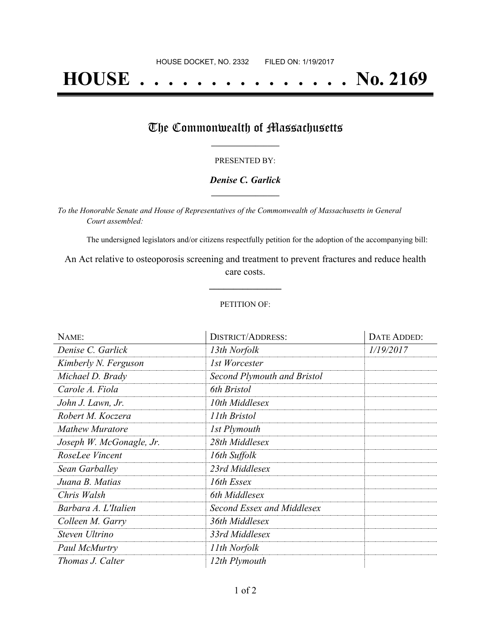# **HOUSE . . . . . . . . . . . . . . . No. 2169**

# The Commonwealth of Massachusetts

### PRESENTED BY:

## *Denise C. Garlick* **\_\_\_\_\_\_\_\_\_\_\_\_\_\_\_\_\_**

*To the Honorable Senate and House of Representatives of the Commonwealth of Massachusetts in General Court assembled:*

The undersigned legislators and/or citizens respectfully petition for the adoption of the accompanying bill:

An Act relative to osteoporosis screening and treatment to prevent fractures and reduce health care costs.

**\_\_\_\_\_\_\_\_\_\_\_\_\_\_\_**

### PETITION OF:

| NAME:                    | <b>DISTRICT/ADDRESS:</b>    | DATE ADDED: |
|--------------------------|-----------------------------|-------------|
| Denise C. Garlick        | 13th Norfolk                | 1/19/2017   |
| Kimberly N. Ferguson     | 1st Worcester               |             |
| Michael D. Brady         | Second Plymouth and Bristol |             |
| Carole A. Fiola          | 6th Bristol                 |             |
| John J. Lawn, Jr.        | 10th Middlesex              |             |
| Robert M. Koczera        | 11th Bristol                |             |
| Mathew Muratore          | 1st Plymouth                |             |
| Joseph W. McGonagle, Jr. | 28th Middlesex              |             |
| RoseLee Vincent          | 16th Suffolk                |             |
| Sean Garballey           | 23rd Middlesex              |             |
| Juana B. Matias          | 16th Essex                  |             |
| Chris Walsh              | 6th Middlesex               |             |
| Barbara A. L'Italien     | Second Essex and Middlesex  |             |
| Colleen M. Garry         | 36th Middlesex              |             |
| Steven Ultrino           | 33rd Middlesex              |             |
| Paul McMurtry            | 11th Norfolk                |             |
| Thomas J. Calter         | 12th Plymouth               |             |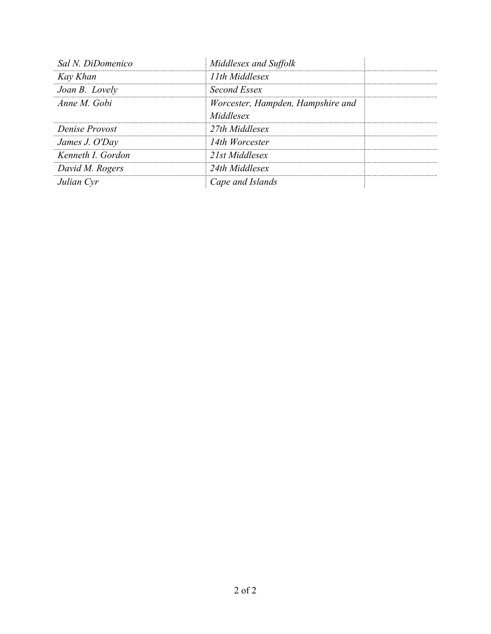| Sal N. DiDomenico | Middlesex and Suffolk             |
|-------------------|-----------------------------------|
| Kay Khan          | 11th Middlesex                    |
| Joan B. Lovely    | Second Essex                      |
| Anne M Gobi       | Worcester, Hampden, Hampshire and |
|                   | Middlesex                         |
| Denise Provost    | 27th Middlesex                    |
| James J. O'Day    | 14th Worcester                    |
| Kenneth I. Gordon | 21st Middlesex                    |
| David M. Rogers   | 24th Middlesex                    |
| Julian Cyr        | Cape and Islands                  |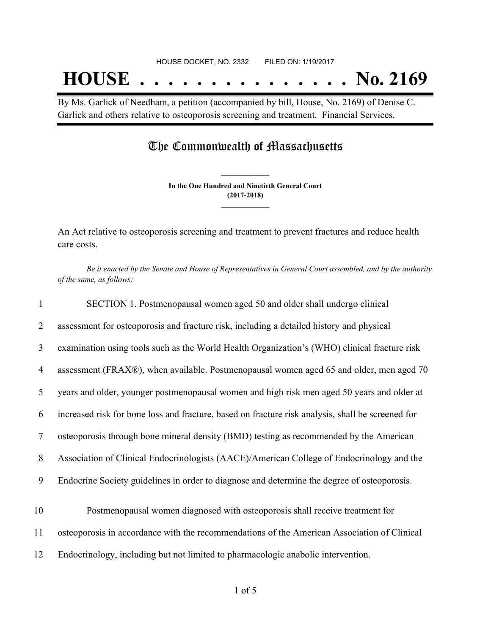By Ms. Garlick of Needham, a petition (accompanied by bill, House, No. 2169) of Denise C. Garlick and others relative to osteoporosis screening and treatment. Financial Services.

# The Commonwealth of Massachusetts

**In the One Hundred and Ninetieth General Court (2017-2018) \_\_\_\_\_\_\_\_\_\_\_\_\_\_\_**

**\_\_\_\_\_\_\_\_\_\_\_\_\_\_\_**

An Act relative to osteoporosis screening and treatment to prevent fractures and reduce health care costs.

Be it enacted by the Senate and House of Representatives in General Court assembled, and by the authority *of the same, as follows:*

| $\mathbf{1}$   | SECTION 1. Postmenopausal women aged 50 and older shall undergo clinical                          |
|----------------|---------------------------------------------------------------------------------------------------|
| 2              | assessment for osteoporosis and fracture risk, including a detailed history and physical          |
| $\mathfrak{Z}$ | examination using tools such as the World Health Organization's (WHO) clinical fracture risk      |
| 4              | assessment (FRAX®), when available. Postmenopausal women aged 65 and older, men aged 70           |
| 5              | years and older, younger postmenopausal women and high risk men aged 50 years and older at        |
| 6              | increased risk for bone loss and fracture, based on fracture risk analysis, shall be screened for |
| $\tau$         | osteoporosis through bone mineral density (BMD) testing as recommended by the American            |
| 8              | Association of Clinical Endocrinologists (AACE)/American College of Endocrinology and the         |
| 9              | Endocrine Society guidelines in order to diagnose and determine the degree of osteoporosis.       |
| 10             | Postmenopausal women diagnosed with osteoporosis shall receive treatment for                      |
| 11             | osteoporosis in accordance with the recommendations of the American Association of Clinical       |
| 12             | Endocrinology, including but not limited to pharmacologic anabolic intervention.                  |
|                |                                                                                                   |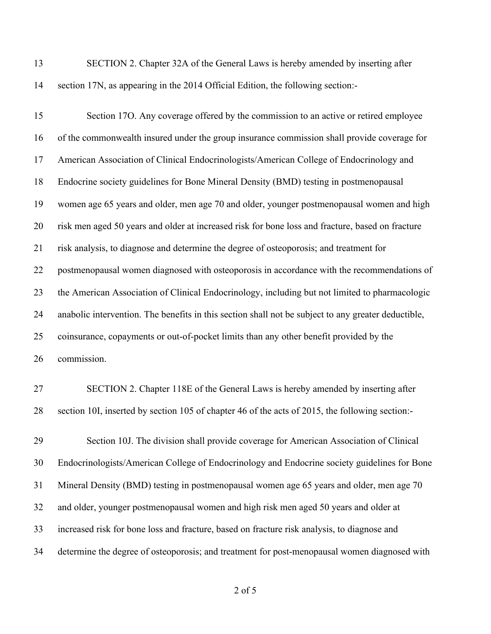| 13 | SECTION 2. Chapter 32A of the General Laws is hereby amended by inserting after    |
|----|------------------------------------------------------------------------------------|
|    | 14 section 17N, as appearing in the 2014 Official Edition, the following section:- |

| 15 | Section 170. Any coverage offered by the commission to an active or retired employee                |
|----|-----------------------------------------------------------------------------------------------------|
| 16 | of the commonwealth insured under the group insurance commission shall provide coverage for         |
| 17 | American Association of Clinical Endocrinologists/American College of Endocrinology and             |
| 18 | Endocrine society guidelines for Bone Mineral Density (BMD) testing in postmenopausal               |
| 19 | women age 65 years and older, men age 70 and older, younger postmenopausal women and high           |
| 20 | risk men aged 50 years and older at increased risk for bone loss and fracture, based on fracture    |
| 21 | risk analysis, to diagnose and determine the degree of osteoporosis; and treatment for              |
| 22 | postmenopausal women diagnosed with osteoporosis in accordance with the recommendations of          |
| 23 | the American Association of Clinical Endocrinology, including but not limited to pharmacologic      |
| 24 | anabolic intervention. The benefits in this section shall not be subject to any greater deductible, |
| 25 | coinsurance, copayments or out-of-pocket limits than any other benefit provided by the              |
| 26 | commission.                                                                                         |
| 27 | CECTION 2. Chanton $110E$ of the Cananal Laws is hander emanded by inserting often                  |

 SECTION 2. Chapter 118E of the General Laws is hereby amended by inserting after section 10I, inserted by section 105 of chapter 46 of the acts of 2015, the following section:-

 Section 10J. The division shall provide coverage for American Association of Clinical Endocrinologists/American College of Endocrinology and Endocrine society guidelines for Bone Mineral Density (BMD) testing in postmenopausal women age 65 years and older, men age 70 and older, younger postmenopausal women and high risk men aged 50 years and older at increased risk for bone loss and fracture, based on fracture risk analysis, to diagnose and determine the degree of osteoporosis; and treatment for post-menopausal women diagnosed with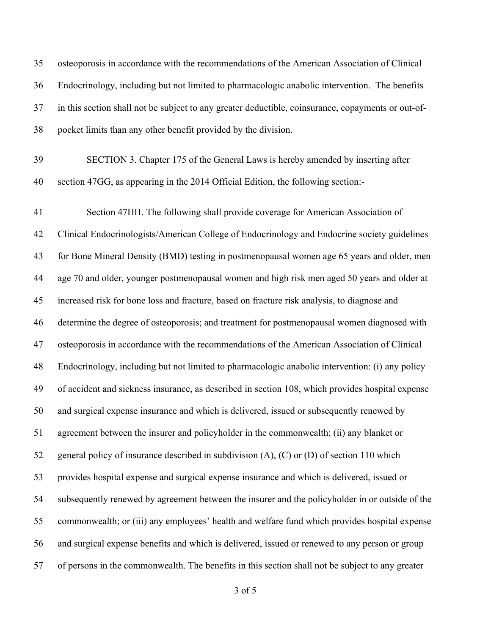osteoporosis in accordance with the recommendations of the American Association of Clinical Endocrinology, including but not limited to pharmacologic anabolic intervention. The benefits in this section shall not be subject to any greater deductible, coinsurance, copayments or out-of-pocket limits than any other benefit provided by the division.

 SECTION 3. Chapter 175 of the General Laws is hereby amended by inserting after section 47GG, as appearing in the 2014 Official Edition, the following section:-

 Section 47HH. The following shall provide coverage for American Association of Clinical Endocrinologists/American College of Endocrinology and Endocrine society guidelines for Bone Mineral Density (BMD) testing in postmenopausal women age 65 years and older, men age 70 and older, younger postmenopausal women and high risk men aged 50 years and older at increased risk for bone loss and fracture, based on fracture risk analysis, to diagnose and determine the degree of osteoporosis; and treatment for postmenopausal women diagnosed with osteoporosis in accordance with the recommendations of the American Association of Clinical Endocrinology, including but not limited to pharmacologic anabolic intervention: (i) any policy of accident and sickness insurance, as described in section 108, which provides hospital expense and surgical expense insurance and which is delivered, issued or subsequently renewed by agreement between the insurer and policyholder in the commonwealth; (ii) any blanket or general policy of insurance described in subdivision (A), (C) or (D) of section 110 which provides hospital expense and surgical expense insurance and which is delivered, issued or subsequently renewed by agreement between the insurer and the policyholder in or outside of the commonwealth; or (iii) any employees' health and welfare fund which provides hospital expense and surgical expense benefits and which is delivered, issued or renewed to any person or group of persons in the commonwealth. The benefits in this section shall not be subject to any greater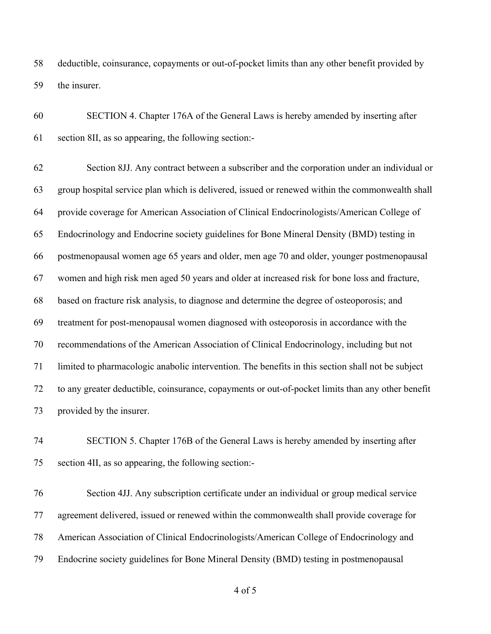deductible, coinsurance, copayments or out-of-pocket limits than any other benefit provided by the insurer.

 SECTION 4. Chapter 176A of the General Laws is hereby amended by inserting after section 8II, as so appearing, the following section:-

 Section 8JJ. Any contract between a subscriber and the corporation under an individual or group hospital service plan which is delivered, issued or renewed within the commonwealth shall provide coverage for American Association of Clinical Endocrinologists/American College of Endocrinology and Endocrine society guidelines for Bone Mineral Density (BMD) testing in postmenopausal women age 65 years and older, men age 70 and older, younger postmenopausal women and high risk men aged 50 years and older at increased risk for bone loss and fracture, based on fracture risk analysis, to diagnose and determine the degree of osteoporosis; and treatment for post-menopausal women diagnosed with osteoporosis in accordance with the recommendations of the American Association of Clinical Endocrinology, including but not limited to pharmacologic anabolic intervention. The benefits in this section shall not be subject to any greater deductible, coinsurance, copayments or out-of-pocket limits than any other benefit provided by the insurer.

 SECTION 5. Chapter 176B of the General Laws is hereby amended by inserting after section 4II, as so appearing, the following section:-

 Section 4JJ. Any subscription certificate under an individual or group medical service agreement delivered, issued or renewed within the commonwealth shall provide coverage for American Association of Clinical Endocrinologists/American College of Endocrinology and Endocrine society guidelines for Bone Mineral Density (BMD) testing in postmenopausal